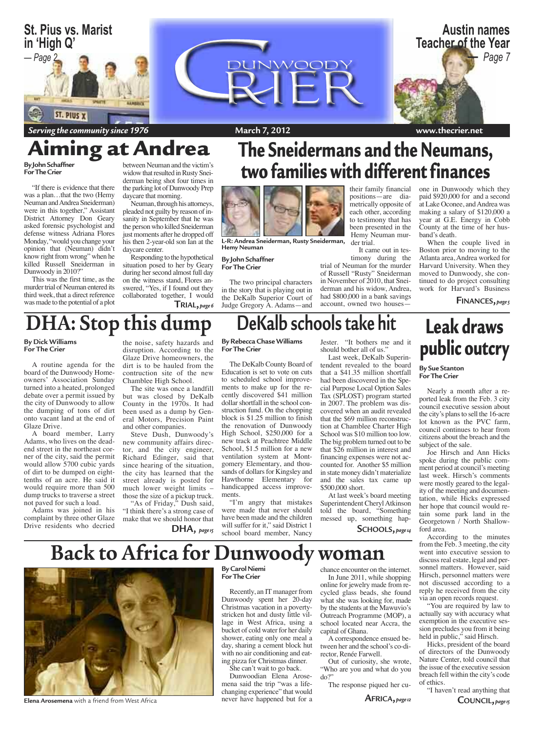

Serving the community since 1976

### ing at Andrea **By John Schaffner**

For The Crier

"If there is evidence that there was a plan...that the two (Hemy Neuman and Andrea Sneiderman) were in this together," Assistant District Attorney Don Geary asked forensic psychologist and defense witness Adriana Flores Monday, "would you change your opinion that (Neuman) didn't know right from wrong" when he killed Russell Sneiderman in Dunwoody in 2010?"

This was the first time, as the murder trial of Neuman entered its third week, that a direct reference was made to the potential of a plot between Neuman and the victim's widow that resulted in Rusty Sneiderman being shot four times in the parking lot of Dunwoody Prep daycare that morning.

Neuman, through his attorneys, pleaded not guilty by reason of insanity in September that he was the person who killed Sneiderman just moments after he dropped off his then 2-year-old son Ian at the daycare center.

Responding to the hypothetical situation posed to her by Geary during her second almost full day on the witness stand, Flores answered, "Yes, if I found out they collaborated together, I would  $TRIAL, page 6$ 

## The Sneidermans and the Neumans, two families with different finances



L-R: Andrea Sneiderman, Rusty Sneiderman, Hemy Neuman

#### **By John Schaffner For The Crier**

The two principal characters in the story that is playing out in the DeKalb Superior Court of Judge Gregory A. Adams—and

#### their family financial positions-are diametrically opposite of each other, according to testimony that has been presented in the Hemy Neuman murder trial.

It came out in testimony during the

trial of Neuman for the murder of Russell "Rusty" Sneiderman in November of 2010, that Sneiderman and his widow, Andrea, had \$800,000 in a bank savings account, owned two housesone in Dunwoody which they paid \$920,000 for and a second at Lake Oconee, and Andrea was making a salary of \$120,000 a year at G.E. Energy in Cobb County at the time of her husband's death.

When the couple lived in Boston prior to moving to the Atlanta area, Andrea worked for Harvard University. When they moved to Dunwoody, she continued to do project consulting work for Harvard's Business

**FINANCES**, page 5

# DHA: Stop this dump

**By Dick Williams** For The Crier

A routine agenda for the board of the Dunwoody Homeowners' Association Sunday turned into a heated, prolonged debate over a permit issued by the city of Dunwoody to allow the dumping of tons of dirt onto vacant land at the end of Glaze Drive.

A board member, Larry Adams, who lives on the deadend street in the northeast corner of the city, said the permit would allow 5700 cubic yards of dirt to be dumped on eighttenths of an acre. He said it would require more than 500 dump trucks to traverse a street not paved for such a load.

Adams was joined in his complaint by three other Glaze Drive residents who decried

#### the noise, safety hazards and disruption. According to the Glaze Drive homeowners, the dirt is to be hauled from the contruction site of the new Chamblee High School.

The site was once a landfill but was closed by DeKalb County in the 1970s. It had been used as a dump by General Motors, Precision Paint and other companies.

Steve Dush, Dunwoody's new community affairs director, and the city engineer, Richard Edinger, said that since hearing of the situation, the city has learned that the street already is posted for much lower weight limits those the size of a pickup truck.

"As of Friday," Dush said, "I think there's a strong case of make that we should honor that

 $DHA,$  page  $15$ 

#### **By Rebecca Chase Williams For The Crier**

DeKalb schools take hit

The DeKalb County Board of Education is set to vote on cuts to scheduled school improvements to make up for the recently discovered \$41 million dollar shortfall in the school construction fund. On the chopping block is \$1.25 million to finish the renovation of Dunwoody High School, \$250,000 for a new track at Peachtree Middle School, \$1.5 million for a new ventilation system at Montgomery Elementary, and thousands of dollars for Kingsley and Hawthorne Elementary for handicapped access improvements.

"I'm angry that mistakes were made that never should have been made and the children will suffer for it," said District 1 school board member, Nancy

Jester. "It bothers me and it should bother all of us."

Last week, DeKalb Superintendent revealed to the board that a \$41.35 million shortfall had been discovered in the Special Purpose Local Option Sales Tax (SPLOST) program started in 2007. The problem was discovered when an audit revealed that the \$69 million reconstruction at Chamblee Charter High School was \$10 million too low. The big problem turned out to be that \$26 million in interest and financing expenses were not accounted for. Another \$5 million in state money didn't materialize and the sales tax came up \$500,000 short.

At last week's board meeting Superintendent Cheryl Atkinson told the board, "Something messed up, something hap-

#### SCHOOLS, page 14

## **Leak draws** public outcry

**By Sue Stanton** For The Crier

Nearly a month after a reported leak from the Feb. 3 city council executive session about the city's plans to sell the 16-acre lot known as the PVC farm, council continues to hear from citizens about the breach and the subject of the sale.

Joe Hirsch and Ann Hicks spoke during the public comment period at council's meeting last week. Hirsch's comments were mostly geared to the legality of the meeting and documentation, while Hicks expressed her hope that council would retain some park land in the Georgetown / North Shallowford area.

According to the minutes from the Feb. 3 meeting, the city went into executive session to discuss real estate, legal and personnel matters. However, said Hirsch, personnel matters were not discussed according to a reply he received from the city via an open records request.

"You are required by law to actually say with accuracy what exemption in the executive session precludes you from it being held in public," said Hirsch.

Hicks, president of the board of directors of the Dunwoody Nature Center, told council that the issue of the executive session breach fell within the city's code of ethics.

"I haven't read anything that COUNCIL, page 15



Elena Arosemena with a friend from West Africa

**Back to Africa for Dunwoody woman By Carol Niemi For The Crier** Recently, an IT manager from

Dunwoody spent her 20-day Christmas vacation in a povertystricken hot and dusty little village in West Africa, using a bucket of cold water for her daily shower, eating only one meal a day, sharing a cement block hut with no air conditioning and eating pizza for Christmas dinner.

She can't wait to go back.

Dunwoodian Elena Arosemena said the trip "was a life-<br>changing experience" that would never have happened but for a

chance encounter on the internet. In June 2011, while shopping online for jewelry made from recycled glass beads, she found what she was looking for, made by the students at the Mawuvio's Outreach Programme (MOP), a school located near Accra, the capital of Ghana.

A correspondence ensued between her and the school's co-director, Renée Farwell.

Out of curiosity, she wrote, "Who are you and what do you  $do?"$ 

The response piqued her cu-